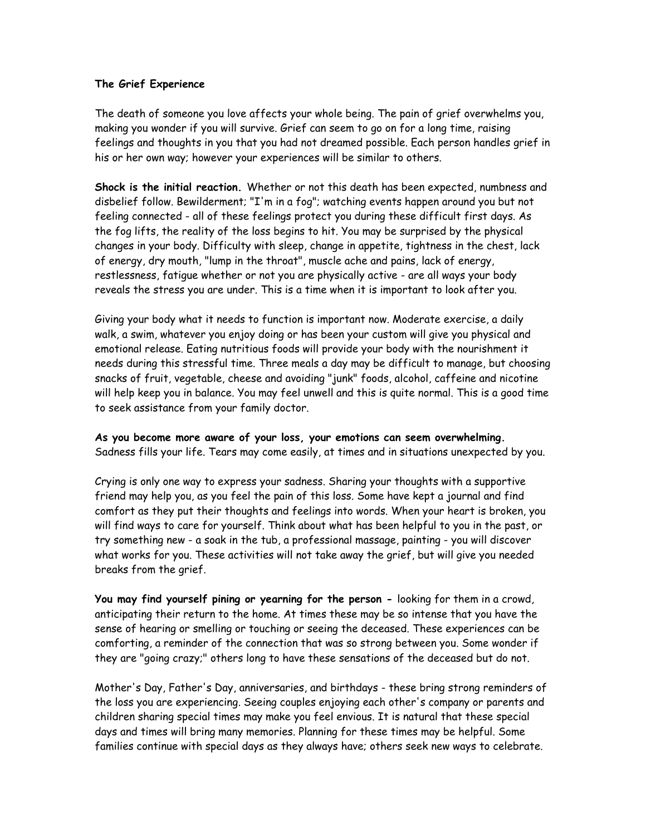## **The Grief Experience**

The death of someone you love affects your whole being. The pain of grief overwhelms you, making you wonder if you will survive. Grief can seem to go on for a long time, raising feelings and thoughts in you that you had not dreamed possible. Each person handles grief in his or her own way; however your experiences will be similar to others.

**Shock is the initial reaction.** Whether or not this death has been expected, numbness and disbelief follow. Bewilderment; "I'm in a fog"; watching events happen around you but not feeling connected - all of these feelings protect you during these difficult first days. As the fog lifts, the reality of the loss begins to hit. You may be surprised by the physical changes in your body. Difficulty with sleep, change in appetite, tightness in the chest, lack of energy, dry mouth, "lump in the throat", muscle ache and pains, lack of energy, restlessness, fatigue whether or not you are physically active - are all ways your body reveals the stress you are under. This is a time when it is important to look after you.

Giving your body what it needs to function is important now. Moderate exercise, a daily walk, a swim, whatever you enjoy doing or has been your custom will give you physical and emotional release. Eating nutritious foods will provide your body with the nourishment it needs during this stressful time. Three meals a day may be difficult to manage, but choosing snacks of fruit, vegetable, cheese and avoiding "junk" foods, alcohol, caffeine and nicotine will help keep you in balance. You may feel unwell and this is quite normal. This is a good time to seek assistance from your family doctor.

**As you become more aware of your loss, your emotions can seem overwhelming.**  Sadness fills your life. Tears may come easily, at times and in situations unexpected by you.

Crying is only one way to express your sadness. Sharing your thoughts with a supportive friend may help you, as you feel the pain of this loss. Some have kept a journal and find comfort as they put their thoughts and feelings into words. When your heart is broken, you will find ways to care for yourself. Think about what has been helpful to you in the past, or try something new - a soak in the tub, a professional massage, painting - you will discover what works for you. These activities will not take away the grief, but will give you needed breaks from the grief.

**You may find yourself pining or yearning for the person -** looking for them in a crowd, anticipating their return to the home. At times these may be so intense that you have the sense of hearing or smelling or touching or seeing the deceased. These experiences can be comforting, a reminder of the connection that was so strong between you. Some wonder if they are "going crazy;" others long to have these sensations of the deceased but do not.

Mother's Day, Father's Day, anniversaries, and birthdays - these bring strong reminders of the loss you are experiencing. Seeing couples enjoying each other's company or parents and children sharing special times may make you feel envious. It is natural that these special days and times will bring many memories. Planning for these times may be helpful. Some families continue with special days as they always have; others seek new ways to celebrate.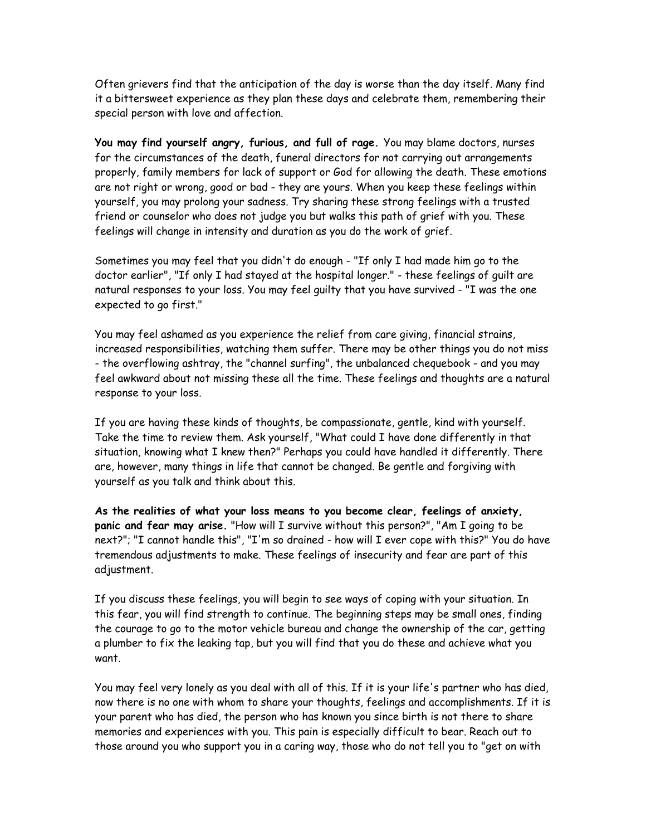Often grievers find that the anticipation of the day is worse than the day itself. Many find it a bittersweet experience as they plan these days and celebrate them, remembering their special person with love and affection.

**You may find yourself angry, furious, and full of rage.** You may blame doctors, nurses for the circumstances of the death, funeral directors for not carrying out arrangements properly, family members for lack of support or God for allowing the death. These emotions are not right or wrong, good or bad - they are yours. When you keep these feelings within yourself, you may prolong your sadness. Try sharing these strong feelings with a trusted friend or counselor who does not judge you but walks this path of grief with you. These feelings will change in intensity and duration as you do the work of grief.

Sometimes you may feel that you didn't do enough - "If only I had made him go to the doctor earlier", "If only I had stayed at the hospital longer." - these feelings of guilt are natural responses to your loss. You may feel guilty that you have survived - "I was the one expected to go first."

You may feel ashamed as you experience the relief from care giving, financial strains, increased responsibilities, watching them suffer. There may be other things you do not miss - the overflowing ashtray, the "channel surfing", the unbalanced chequebook - and you may feel awkward about not missing these all the time. These feelings and thoughts are a natural response to your loss.

If you are having these kinds of thoughts, be compassionate, gentle, kind with yourself. Take the time to review them. Ask yourself, "What could I have done differently in that situation, knowing what I knew then?" Perhaps you could have handled it differently. There are, however, many things in life that cannot be changed. Be gentle and forgiving with yourself as you talk and think about this.

**As the realities of what your loss means to you become clear, feelings of anxiety, panic and fear may arise.** "How will I survive without this person?", "Am I going to be next?"; "I cannot handle this", "I'm so drained - how will I ever cope with this?" You do have tremendous adjustments to make. These feelings of insecurity and fear are part of this adjustment.

If you discuss these feelings, you will begin to see ways of coping with your situation. In this fear, you will find strength to continue. The beginning steps may be small ones, finding the courage to go to the motor vehicle bureau and change the ownership of the car, getting a plumber to fix the leaking tap, but you will find that you do these and achieve what you want.

You may feel very lonely as you deal with all of this. If it is your life's partner who has died, now there is no one with whom to share your thoughts, feelings and accomplishments. If it is your parent who has died, the person who has known you since birth is not there to share memories and experiences with you. This pain is especially difficult to bear. Reach out to those around you who support you in a caring way, those who do not tell you to "get on with